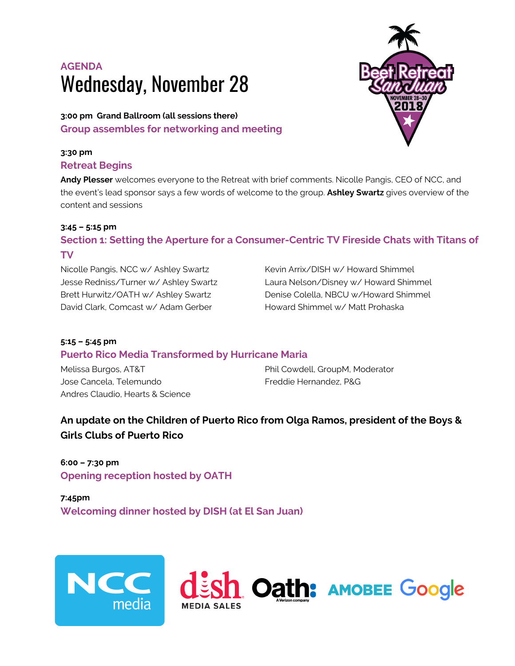# **AGENDA** Wednesday, November 28

**3:00 pm Grand Ballroom (all sessions there) Group assembles for networking and meeting**

### **3:30 pm**

#### **Retreat Begins**

**Andy Plesser** welcomes everyone to the Retreat with brief comments. Nicolle Pangis, CEO of NCC, and the event's lead sponsor says a few words of welcome to the group. **Ashley Swartz** gives overview of the content and sessions

#### **3:45 – 5:15 pm**

# **Section 1: Setting the Aperture for a Consumer-Centric TV Fireside Chats with Titans of TV**

Nicolle Pangis, NCC w/ Ashley Swartz Jesse Redniss/Turner w/ Ashley Swartz Brett Hurwitz/OATH w/ Ashley Swartz David Clark, Comcast w/ Adam Gerber

Kevin Arrix/DISH w/ Howard Shimmel Laura Nelson/Disney w/ Howard Shimmel Denise Colella, NBCU w/Howard Shimmel Howard Shimmel w/ Matt Prohaska

## **5:15 – 5:45 pm Puerto Rico Media Transformed by Hurricane Maria**

Melissa Burgos, AT&T Jose Cancela, Telemundo Andres Claudio, Hearts & Science Phil Cowdell, GroupM, Moderator Freddie Hernandez, P&G

# **An update on the Children of Puerto Rico from Olga Ramos, president of the Boys & Girls Clubs of Puerto Rico**

**6:00 – 7:30 pm Opening reception hosted by OATH**

**7:45pm Welcoming dinner hosted by DISH (at El San Juan)**





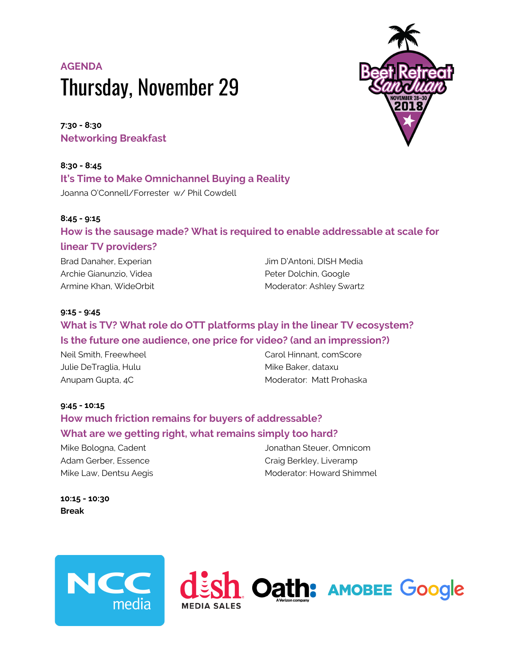# **AGENDA** Thursday, November 29

**7:30 - 8:30 Networking Breakfast**

**8:30 - 8:45 It's Time to Make Omnichannel Buying a Reality** Joanna O'Connell/Forrester w/ Phil Cowdell

#### **8:45 - 9:15**

#### **How is the sausage made? What is required to enable addressable at scale for**

#### **linear TV providers?**

Brad Danaher, Experian Archie Gianunzio, Videa Armine Khan, WideOrbit Jim D'Antoni, DISH Media Peter Dolchin, Google Moderator: Ashley Swartz

#### **9:15 - 9:45**

# **What is TV? What role do OTT platforms play in the linear TV ecosystem? Is the future one audience, one price for video? (and an impression?)**

Neil Smith, Freewheel Julie DeTraglia, Hulu Anupam Gupta, 4C

Carol Hinnant, comScore Mike Baker, dataxu Moderator: Matt Prohaska

#### **9:45 - 10:15**

# **How much friction remains for buyers of addressable? What are we getting right, what remains simply too hard?**

Mike Bologna, Cadent Adam Gerber, Essence Mike Law, Dentsu Aegis Jonathan Steuer, Omnicom Craig Berkley, Liveramp Moderator: Howard Shimmel

**10:15 - 10:30 Break**





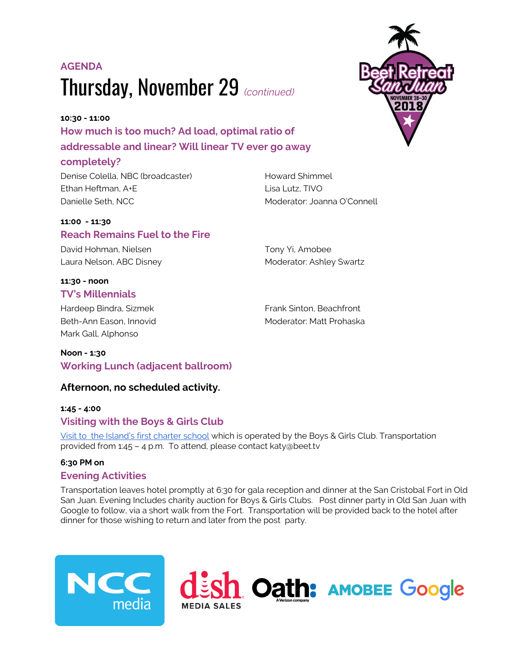# **AGENDA** Thursday, November 29 *(continued)*

# **10:30 - 11:00 How much is too much? Ad load, optimal ratio of addressable and linear? Will linear TV ever go away**

#### **completely?**

Denise Colella, NBC (broadcaster) Ethan Heftman, A+E Danielle Seth, NCC

#### **11:00 - 11:30 Reach Remains Fuel to the Fire**

David Hohman, Nielsen Laura Nelson, ABC Disney

#### **11:30 - noon TV's Millennials**

Hardeep Bindra, Sizmek Beth-Ann Eason, Innovid Mark Gall, Alphonso

Lisa Lutz, TIVO Moderator: Joanna O'Connell

Howard Shimmel

Tony Yi, Amobee Moderator: Ashley Swartz

Frank Sinton, Beachfront Moderator: Matt Prohaska

# **Working Lunch (adjacent ballroom)**

### **Afternoon, no scheduled activity.**

#### **1:45 - 4:00 Visiting with the Boys & Girls Club**

Visit to the [Island's](https://www.beet.tv/wp-content/uploads/2018/11/invitacion.pdf) first charter school which is operated by the Boys & Girls Club. Transportation provided from 1:45 – 4 p.m. To attend, please contact katy@beet.tv

#### **6:30 PM on**

**Noon - 1:30**

#### **Evening Activities**

Transportation leaves hotel promptly at 6:30 for gala reception and dinner at the San Cristobal Fort in Old San Juan. Evening Includes charity auction for Boys & Girls Clubs. Post dinner party in Old San Juan with Google to follow, via a short walk from the Fort. Transportation will be provided back to the hotel after dinner for those wishing to return and later from the post party.





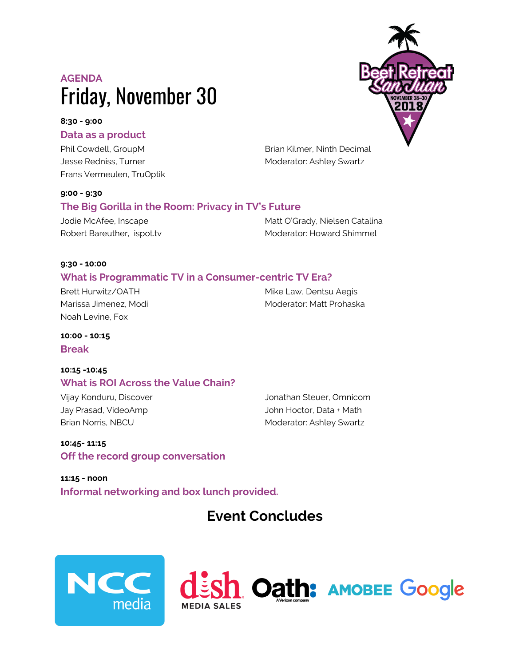# **AGENDA** Friday, November 30

# **8:30 - 9:00**

#### **Data as a product**

Phil Cowdell, GroupM Jesse Redniss, Turner Frans Vermeulen, TruOptik

#### **9:00 - 9:30**

# **The Big Gorilla in the Room: Privacy in TV's Future**

Jodie McAfee, Inscape Robert Bareuther, ispot.tv Matt O'Grady, Nielsen Catalina Moderator: Howard Shimmel

Moderator: Ashley Swartz

#### **9:30 - 10:00**

#### **What is Programmatic TV in a Consumer-centric TV Era?**

Brett Hurwitz/OATH Marissa Jimenez, Modi Noah Levine, Fox

Mike Law, Dentsu Aegis Moderator: Matt Prohaska

**10:00 - 10:15 Break**

#### **10:15 -10:45 What is ROI Across the Value Chain?**

Vijay Konduru, Discover Jay Prasad, VideoAmp Brian Norris, NBCU

Jonathan Steuer, Omnicom John Hoctor, Data + Math Moderator: Ashley Swartz

**10:45- 11:15 Off the record group conversation**

**11:15 - noon Informal networking and box lunch provided.**

# **Event Concludes**